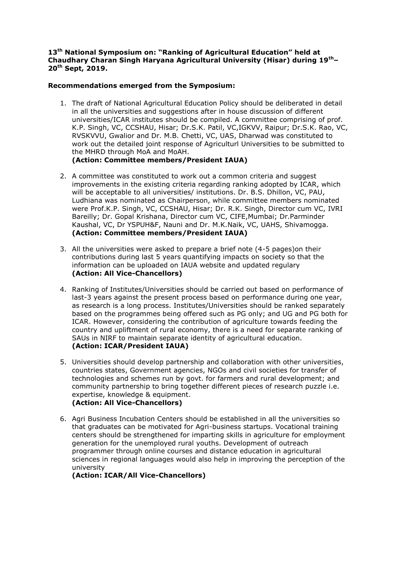## **13th National Symposium on: "Ranking of Agricultural Education" held at Chaudhary Charan Singh Haryana Agricultural University (Hisar) during 19th– 20th Sept, 2019.**

## **Recommendations emerged from the Symposium:**

- 1. The draft of National Agricultural Education Policy should be deliberated in detail in all the universities and suggestions after in house discussion of different universities/ICAR institutes should be compiled. A committee comprising of prof. K.P. Singh, VC, CCSHAU, Hisar; Dr.S.K. Patil, VC,IGKVV, Raipur; Dr.S.K. Rao, VC, RVSKVVU, Gwalior and Dr. M.B. Chetti, VC, UAS, Dharwad was constituted to work out the detailed joint response of Agriculturl Universities to be submitted to the MHRD through MoA and MoAH. **(Action: Committee members/President IAUA)**
- 2. A committee was constituted to work out a common criteria and suggest improvements in the existing criteria regarding ranking adopted by ICAR, which will be acceptable to all universities/ institutions. Dr. B.S. Dhillon, VC, PAU, Ludhiana was nominated as Chairperson, while committee members nominated were Prof.K.P. Singh, VC, CCSHAU, Hisar; Dr. R.K. Singh, Director cum VC, IVRI Bareilly; Dr. Gopal Krishana, Director cum VC, CIFE,Mumbai; Dr.Parminder Kaushal, VC, Dr YSPUH&F, Nauni and Dr. M.K.Naik, VC, UAHS, Shivamogga. **(Action: Committee members/President IAUA)**
- 3. All the universities were asked to prepare a brief note (4-5 pages)on their contributions during last 5 years quantifying impacts on society so that the information can be uploaded on IAUA website and updated regulary **(Action: All Vice-Chancellors)**
- 4. Ranking of Institutes/Universities should be carried out based on performance of last-3 years against the present process based on performance during one year, as research is a long process. Institutes/Universities should be ranked separately based on the programmes being offered such as PG only; and UG and PG both for ICAR. However, considering the contribution of agriculture towards feeding the country and upliftment of rural economy, there is a need for separate ranking of SAUs in NIRF to maintain separate identity of agricultural education. **(Action: ICAR/President IAUA)**
- 5. Universities should develop partnership and collaboration with other universities, countries states, Government agencies, NGOs and civil societies for transfer of technologies and schemes run by govt. for farmers and rural development; and community partnership to bring together different pieces of research puzzle i.e. expertise, knowledge & equipment. **(Action: All Vice-Chancellors)**
- 6. Agri Business Incubation Centers should be established in all the universities so that graduates can be motivated for Agri-business startups. Vocational training centers should be strengthened for imparting skills in agriculture for employment generation for the unemployed rural youths. Development of outreach programmer through online courses and distance education in agricultural sciences in regional languages would also help in improving the perception of the university

**(Action: ICAR/All Vice-Chancellors)**